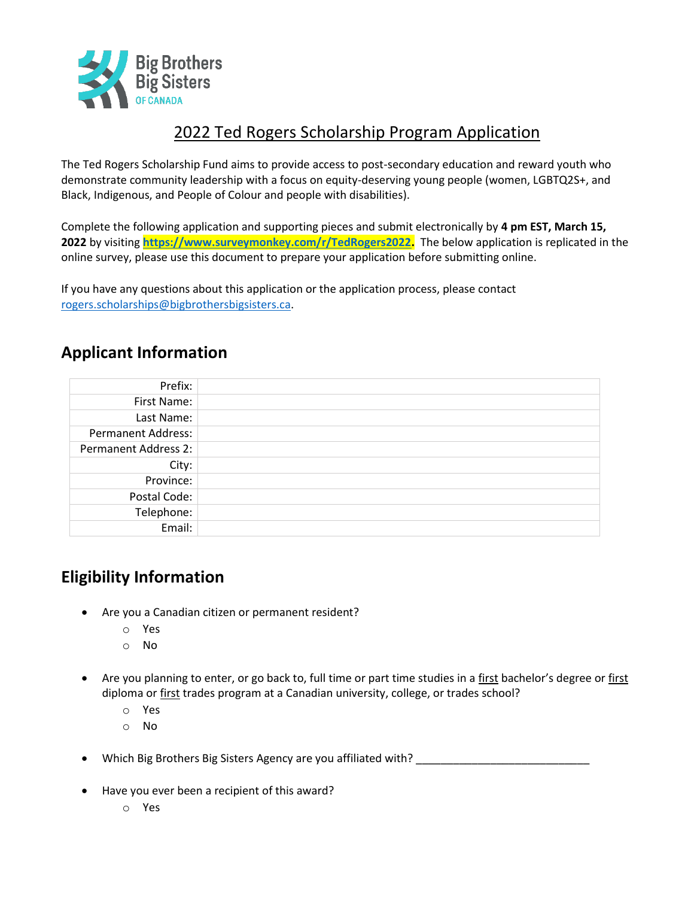

## 2022 Ted Rogers Scholarship Program Application

The Ted Rogers Scholarship Fund aims to provide access to post-secondary education and reward youth who demonstrate community leadership with a focus on equity-deserving young people (women, LGBTQ2S+, and Black, Indigenous, and People of Colour and people with disabilities).

Complete the following application and supporting pieces and submit electronically by **4 pm EST, March 15, 2022** by visiting **[https://www.surveymonkey.com/r/TedRogers2022.](https://www.surveymonkey.com/r/TedRogers2022)** The below application is replicated in the online survey, please use this document to prepare your application before submitting online.

If you have any questions about this application or the application process, please contact [rogers.scholarships@bigbrothersbigsisters.ca.](mailto:rogers.scholarships@bigbrothersbigsisters.ca)

## **Applicant Information**

| Prefix:                     |
|-----------------------------|
| First Name:                 |
| Last Name:                  |
| <b>Permanent Address:</b>   |
| <b>Permanent Address 2:</b> |
| City:                       |
| Province:                   |
| Postal Code:                |
| Telephone:                  |
| Email:                      |

### **Eligibility Information**

- Are you a Canadian citizen or permanent resident?
	- o Yes
	- o No
- Are you planning to enter, or go back to, full time or part time studies in a first bachelor's degree or first diploma or first trades program at a Canadian university, college, or trades school?
	- o Yes
	- o No
- Which Big Brothers Big Sisters Agency are you affiliated with?
- Have you ever been a recipient of this award?
	- o Yes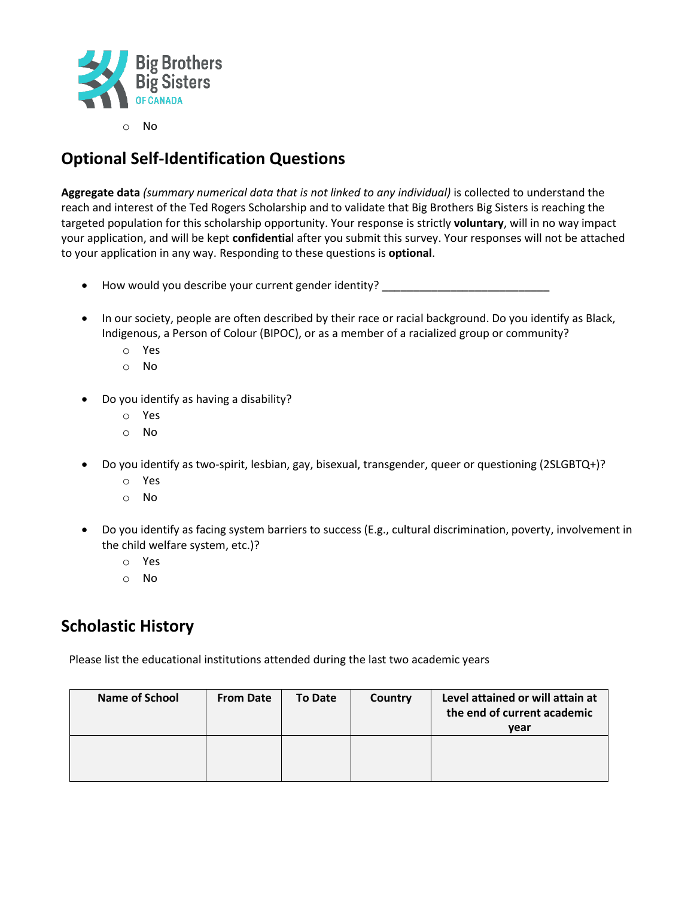

o No

# **Optional Self-Identification Questions**

**Aggregate data** *(summary numerical data that is not linked to any individual)* is collected to understand the reach and interest of the Ted Rogers Scholarship and to validate that Big Brothers Big Sisters is reaching the targeted population for this scholarship opportunity. Your response is strictly **voluntary**, will in no way impact your application, and will be kept **confidentia**l after you submit this survey. Your responses will not be attached to your application in any way. Responding to these questions is **optional**.

- How would you describe your current gender identity? \_\_\_\_\_\_\_\_\_\_\_\_\_\_\_\_\_\_\_\_\_\_\_\_\_
- In our society, people are often described by their race or racial background. Do you identify as Black, Indigenous, a Person of Colour (BIPOC), or as a member of a racialized group or community?
	- o Yes
	- o No
- Do you identify as having a disability?
	- o Yes
	- o No
- Do you identify as two-spirit, lesbian, gay, bisexual, transgender, queer or questioning (2SLGBTQ+)?
	- o Yes
	- o No
- Do you identify as facing system barriers to success (E.g., cultural discrimination, poverty, involvement in the child welfare system, etc.)?
	- o Yes
	- o No

### **Scholastic History**

Please list the educational institutions attended during the last two academic years

| <b>Name of School</b> | <b>From Date</b> | <b>To Date</b> | Country | Level attained or will attain at<br>the end of current academic<br>year |
|-----------------------|------------------|----------------|---------|-------------------------------------------------------------------------|
|                       |                  |                |         |                                                                         |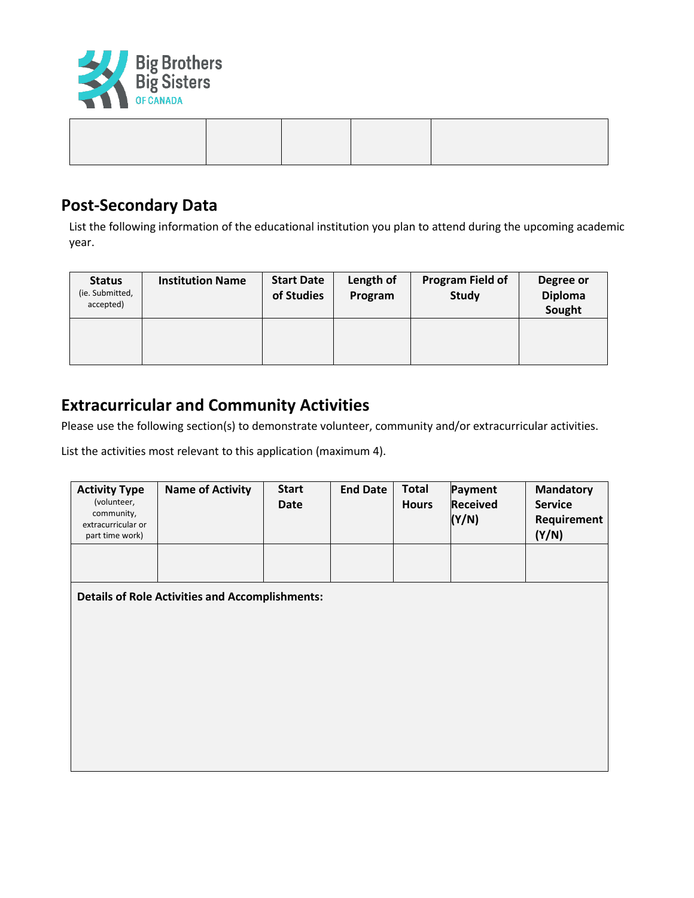

#### **Post-Secondary Data**

List the following information of the educational institution you plan to attend during the upcoming academic year.

| <b>Status</b><br>(ie. Submitted,<br>accepted) | <b>Institution Name</b> | <b>Start Date</b><br>of Studies | Length of<br>Program | <b>Program Field of</b><br><b>Study</b> | Degree or<br><b>Diploma</b><br>Sought |
|-----------------------------------------------|-------------------------|---------------------------------|----------------------|-----------------------------------------|---------------------------------------|
|                                               |                         |                                 |                      |                                         |                                       |

#### **Extracurricular and Community Activities**

Please use the following section(s) to demonstrate volunteer, community and/or extracurricular activities.

List the activities most relevant to this application (maximum 4).

| <b>Activity Type</b><br>(volunteer,<br>community,<br>extracurricular or<br>part time work) | <b>Name of Activity</b>                                | <b>Start</b><br><b>Date</b> | <b>End Date</b> | <b>Total</b><br><b>Hours</b> | <b>Payment</b><br><b>Received</b><br>(Y/N) | <b>Mandatory</b><br><b>Service</b><br>Requirement<br>(Y/N) |
|--------------------------------------------------------------------------------------------|--------------------------------------------------------|-----------------------------|-----------------|------------------------------|--------------------------------------------|------------------------------------------------------------|
|                                                                                            |                                                        |                             |                 |                              |                                            |                                                            |
|                                                                                            | <b>Details of Role Activities and Accomplishments:</b> |                             |                 |                              |                                            |                                                            |
|                                                                                            |                                                        |                             |                 |                              |                                            |                                                            |
|                                                                                            |                                                        |                             |                 |                              |                                            |                                                            |
|                                                                                            |                                                        |                             |                 |                              |                                            |                                                            |
|                                                                                            |                                                        |                             |                 |                              |                                            |                                                            |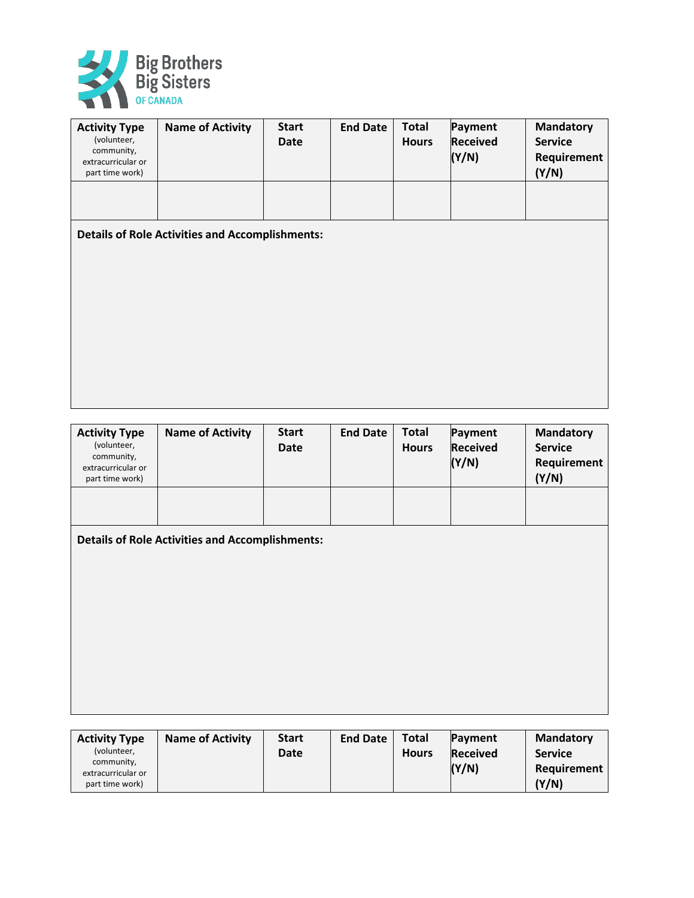

| <b>Activity Type</b><br>(volunteer,<br>community,<br>extracurricular or<br>part time work) | <b>Name of Activity</b>                                | <b>Start</b><br><b>Date</b> | <b>End Date</b> | <b>Total</b><br><b>Hours</b> | Payment<br><b>Received</b><br>(Y/N) | <b>Mandatory</b><br><b>Service</b><br>Requirement<br>(Y/N) |
|--------------------------------------------------------------------------------------------|--------------------------------------------------------|-----------------------------|-----------------|------------------------------|-------------------------------------|------------------------------------------------------------|
|                                                                                            |                                                        |                             |                 |                              |                                     |                                                            |
|                                                                                            | <b>Details of Role Activities and Accomplishments:</b> |                             |                 |                              |                                     |                                                            |
|                                                                                            |                                                        |                             |                 |                              |                                     |                                                            |
|                                                                                            |                                                        |                             |                 |                              |                                     |                                                            |
|                                                                                            |                                                        |                             |                 |                              |                                     |                                                            |
|                                                                                            |                                                        |                             |                 |                              |                                     |                                                            |

| <b>Activity Type</b><br>(volunteer,<br>community,<br>extracurricular or<br>part time work) | <b>Name of Activity</b>                                | <b>Start</b><br><b>Date</b> | <b>End Date</b> | <b>Total</b><br><b>Hours</b> | Payment<br><b>Received</b><br>(Y/N) | <b>Mandatory</b><br><b>Service</b><br>Requirement<br>(Y/N) |
|--------------------------------------------------------------------------------------------|--------------------------------------------------------|-----------------------------|-----------------|------------------------------|-------------------------------------|------------------------------------------------------------|
|                                                                                            |                                                        |                             |                 |                              |                                     |                                                            |
|                                                                                            | <b>Details of Role Activities and Accomplishments:</b> |                             |                 |                              |                                     |                                                            |
|                                                                                            |                                                        |                             |                 |                              |                                     |                                                            |
|                                                                                            |                                                        |                             |                 |                              |                                     |                                                            |
|                                                                                            |                                                        |                             |                 |                              |                                     |                                                            |

| <b>Activity Type</b>                  | <b>Name of Activity</b> | <b>Start</b> | <b>End Date</b> | <b>Total</b> | Payment         | <b>Mandatory</b> |
|---------------------------------------|-------------------------|--------------|-----------------|--------------|-----------------|------------------|
| (volunteer,                           |                         | Date         |                 | <b>Hours</b> | <b>Received</b> | <b>Service</b>   |
| community,                            |                         |              |                 |              | (Y/N)           | Requirement      |
| extracurricular or<br>part time work) |                         |              |                 |              |                 | (Y/N)            |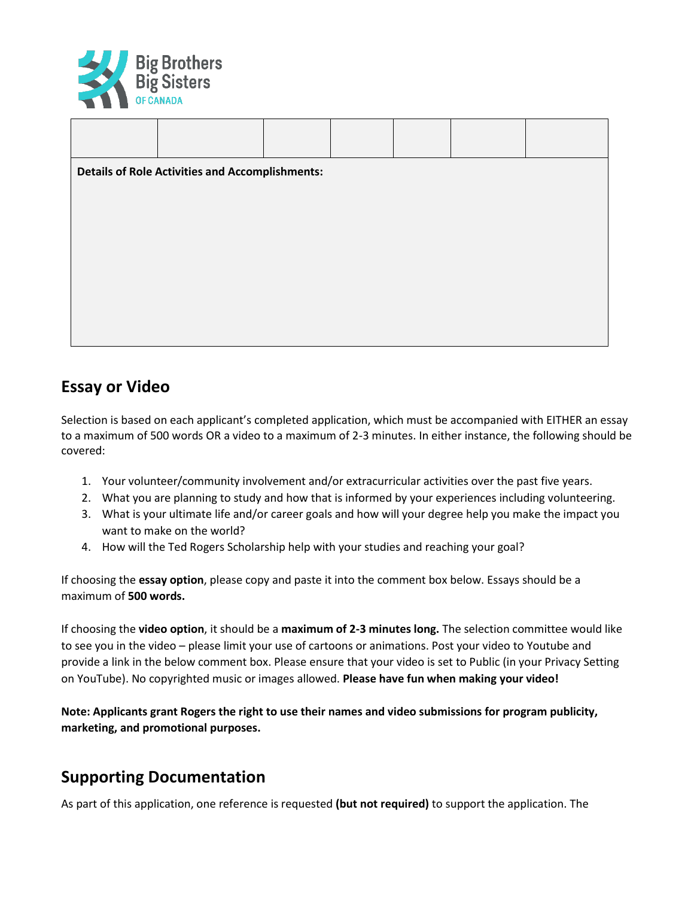

| <b>Details of Role Activities and Accomplishments:</b> |  |  |  |  |  |  |  |  |
|--------------------------------------------------------|--|--|--|--|--|--|--|--|
|                                                        |  |  |  |  |  |  |  |  |
|                                                        |  |  |  |  |  |  |  |  |
|                                                        |  |  |  |  |  |  |  |  |
|                                                        |  |  |  |  |  |  |  |  |
|                                                        |  |  |  |  |  |  |  |  |

## **Essay or Video**

Selection is based on each applicant's completed application, which must be accompanied with EITHER an essay to a maximum of 500 words OR a video to a maximum of 2-3 minutes. In either instance, the following should be covered:

- 1. Your volunteer/community involvement and/or extracurricular activities over the past five years.
- 2. What you are planning to study and how that is informed by your experiences including volunteering.
- 3. What is your ultimate life and/or career goals and how will your degree help you make the impact you want to make on the world?
- 4. How will the Ted Rogers Scholarship help with your studies and reaching your goal?

If choosing the **essay option**, please copy and paste it into the comment box below. Essays should be a maximum of **500 words.**

If choosing the **video option**, it should be a **maximum of 2-3 minutes long.** The selection committee would like to see you in the video – please limit your use of cartoons or animations. Post your video to Youtube and provide a link in the below comment box. Please ensure that your video is set to Public (in your Privacy Setting on YouTube). No copyrighted music or images allowed. **Please have fun when making your video!** 

**Note: Applicants grant Rogers the right to use their names and video submissions for program publicity, marketing, and promotional purposes.** 

### **Supporting Documentation**

As part of this application, one reference is requested **(but not required)** to support the application. The